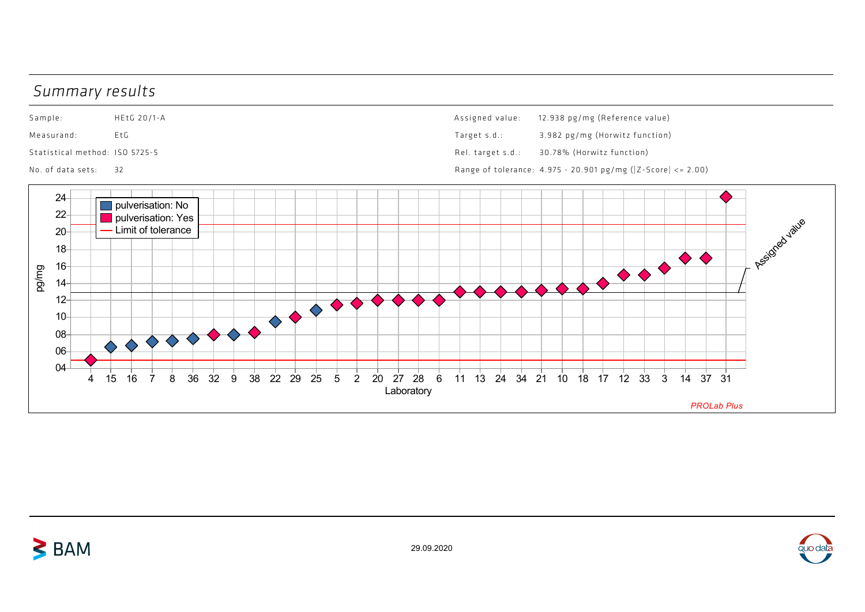## Summary results

 $\geq$  BAM



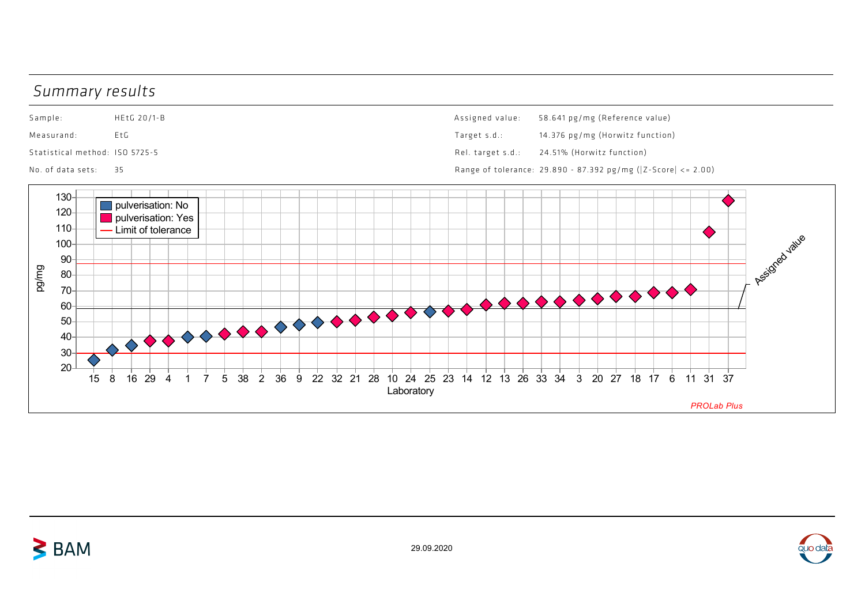## Summary results



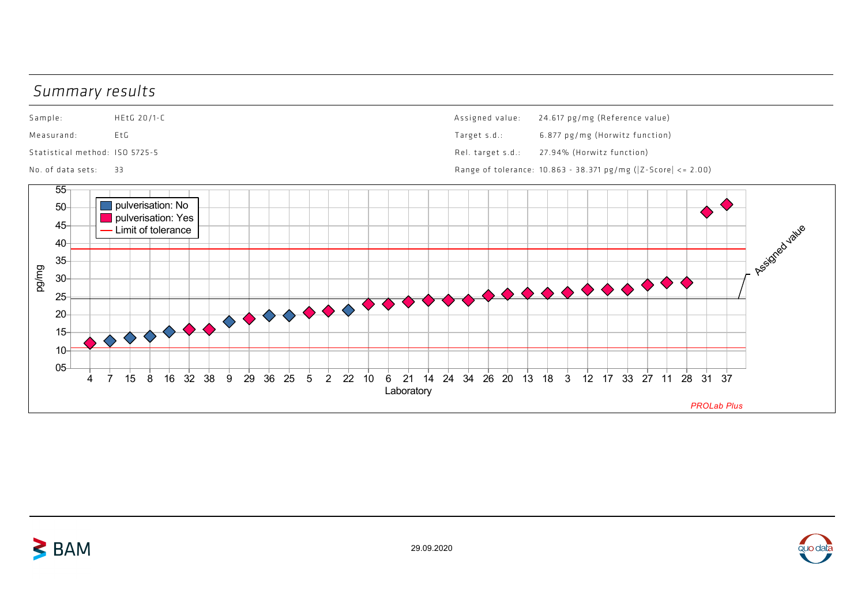## Summary results

 $\geq$  BAM

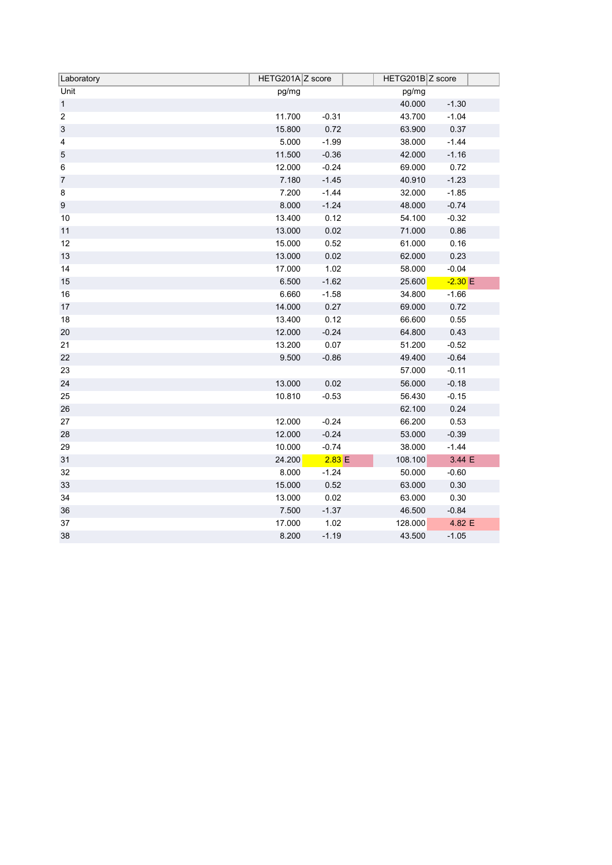| Laboratory              | HETG201A Z score |         | HETG201B Z score    |  |
|-------------------------|------------------|---------|---------------------|--|
| Unit                    | pg/mg            |         | pg/mg               |  |
| $\mathbf{1}$            |                  |         | 40.000<br>$-1.30$   |  |
| $\overline{2}$          | 11.700           | $-0.31$ | 43.700<br>$-1.04$   |  |
| $\sqrt{3}$              | 15.800           | 0.72    | 0.37<br>63.900      |  |
| $\overline{\mathbf{4}}$ | 5.000            | $-1.99$ | 38.000<br>$-1.44$   |  |
| $\sqrt{5}$              | 11.500           | $-0.36$ | 42.000<br>$-1.16$   |  |
| 6                       | 12.000           | $-0.24$ | 0.72<br>69.000      |  |
| $\boldsymbol{7}$        | 7.180            | $-1.45$ | $-1.23$<br>40.910   |  |
| 8                       | 7.200            | $-1.44$ | 32.000<br>$-1.85$   |  |
| $\boldsymbol{9}$        | 8.000            | $-1.24$ | $-0.74$<br>48.000   |  |
| 10                      | 13.400           | 0.12    | 54.100<br>$-0.32$   |  |
| 11                      | 13.000           | 0.02    | 0.86<br>71.000      |  |
| 12                      | 15.000           | 0.52    | 0.16<br>61.000      |  |
| 13                      | 13.000           | 0.02    | 62.000<br>0.23      |  |
| 14                      | 17.000           | 1.02    | 58.000<br>$-0.04$   |  |
| 15                      | 6.500            | $-1.62$ | $-2.30 E$<br>25.600 |  |
| 16                      | 6.660            | $-1.58$ | 34.800<br>$-1.66$   |  |
| 17                      | 14.000           | 0.27    | 0.72<br>69.000      |  |
| 18                      | 13.400           | 0.12    | 0.55<br>66.600      |  |
| 20                      | 12.000           | $-0.24$ | 0.43<br>64.800      |  |
| 21                      | 13.200           | 0.07    | $-0.52$<br>51.200   |  |
| 22                      | 9.500            | $-0.86$ | $-0.64$<br>49.400   |  |
| 23                      |                  |         | 57.000<br>$-0.11$   |  |
| 24                      | 13.000           | 0.02    | 56.000<br>$-0.18$   |  |
| 25                      | 10.810           | $-0.53$ | $-0.15$<br>56.430   |  |
| 26                      |                  |         | 0.24<br>62.100      |  |
| 27                      | 12.000           | $-0.24$ | 66.200<br>0.53      |  |
| 28                      | 12.000           | $-0.24$ | 53.000<br>$-0.39$   |  |
| 29                      | 10.000           | $-0.74$ | 38.000<br>$-1.44$   |  |
| 31                      | 24.200           | 2.83 E  | 3.44 E<br>108.100   |  |
| 32                      | 8.000            | $-1.24$ | 50.000<br>$-0.60$   |  |
| 33                      | 15.000           | 0.52    | 0.30<br>63.000      |  |
| 34                      | 13.000           | 0.02    | 0.30<br>63.000      |  |
| 36                      | 7.500            | $-1.37$ | 46.500<br>$-0.84$   |  |
| 37                      | 17.000           | 1.02    | 4.82 E<br>128.000   |  |
| 38                      | 8.200            | $-1.19$ | 43.500<br>$-1.05$   |  |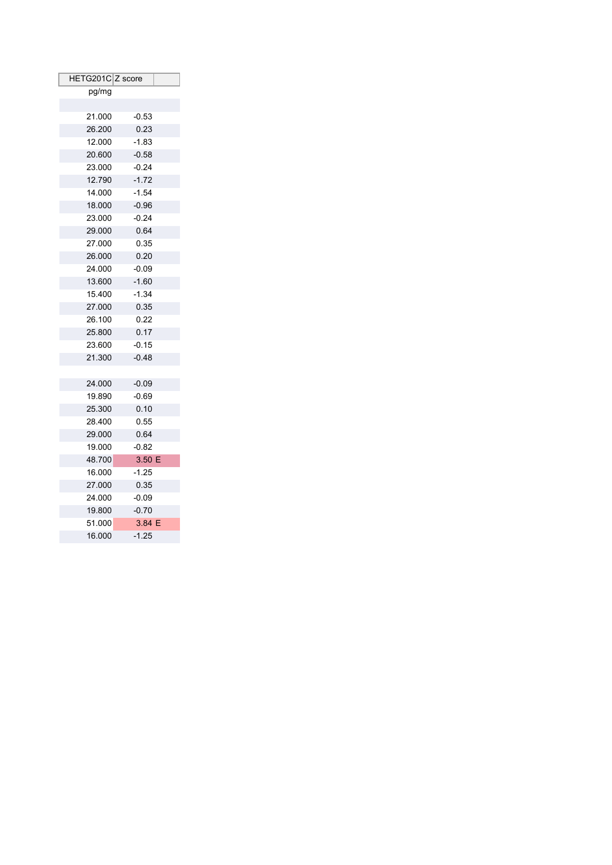| HETG201C Z score |         |  |
|------------------|---------|--|
| pg/mg            |         |  |
|                  |         |  |
| 21.000           | $-0.53$ |  |
| 26.200           | 0.23    |  |
| 12.000           | $-1.83$ |  |
| 20.600           | $-0.58$ |  |
| 23.000           | $-0.24$ |  |
| 12.790           | $-1.72$ |  |
| 14.000           | $-1.54$ |  |
| 18.000           | $-0.96$ |  |
| 23.000           | $-0.24$ |  |
| 29.000           | 0.64    |  |
| 27.000           | 0.35    |  |
| 26.000           | 0.20    |  |
| 24.000           | $-0.09$ |  |
| 13.600           | $-1.60$ |  |
| 15.400           | $-1.34$ |  |
| 27.000           | 0.35    |  |
| 26.100           | 0.22    |  |
| 25.800           | 0.17    |  |
| 23.600           | $-0.15$ |  |
| 21.300           | $-0.48$ |  |
|                  |         |  |
| 24.000           | $-0.09$ |  |
| 19.890           | $-0.69$ |  |
| 25.300           | 0.10    |  |
| 28.400           | 0.55    |  |
| 29.000           | 0.64    |  |
| 19.000           | $-0.82$ |  |
| 48.700           | 3.50 E  |  |
| 16.000           | $-1.25$ |  |
| 27.000           | 0.35    |  |
| 24.000           | $-0.09$ |  |
| 19.800           | $-0.70$ |  |
| 51.000           | 3.84 E  |  |
| 16.000           | $-1.25$ |  |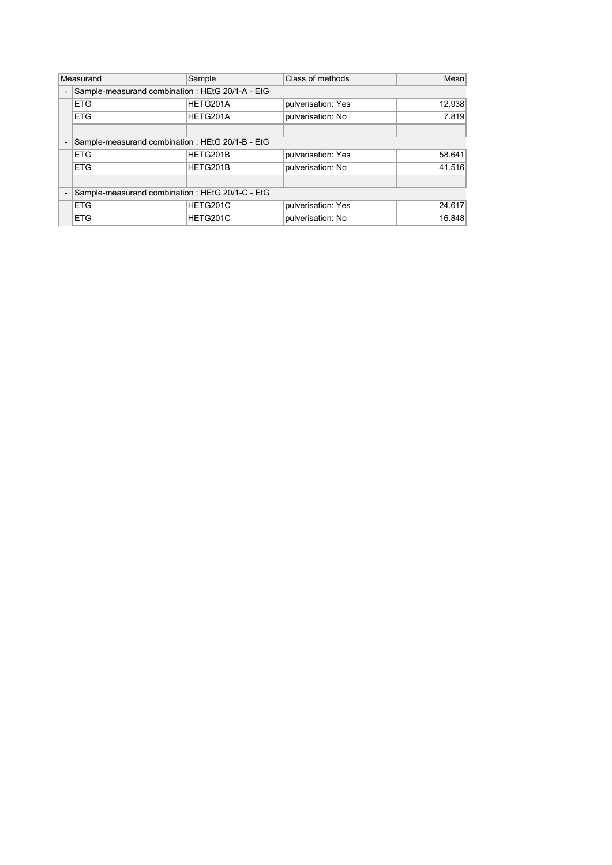|                          | Measurand                                        | Sample   | Class of methods   | Mean   |  |
|--------------------------|--------------------------------------------------|----------|--------------------|--------|--|
| $\overline{\phantom{a}}$ | Sample-measurand combination: HEtG 20/1-A - EtG  |          |                    |        |  |
|                          | <b>ETG</b>                                       | HETG201A | pulverisation: Yes | 12.938 |  |
|                          | <b>ETG</b>                                       | HETG201A | pulverisation: No  | 7.819  |  |
|                          |                                                  |          |                    |        |  |
|                          | Sample-measurand combination: HEtG 20/1-B - EtG  |          |                    |        |  |
|                          | <b>ETG</b>                                       | HETG201B | pulverisation: Yes | 58.641 |  |
|                          | <b>ETG</b>                                       | HETG201B | pulverisation: No  | 41.516 |  |
|                          |                                                  |          |                    |        |  |
|                          | Sample-measurand combination : HEtG 20/1-C - EtG |          |                    |        |  |
|                          | <b>ETG</b>                                       | HETG201C | pulverisation: Yes | 24.617 |  |
|                          | <b>ETG</b>                                       | HETG201C | pulverisation: No  | 16.848 |  |